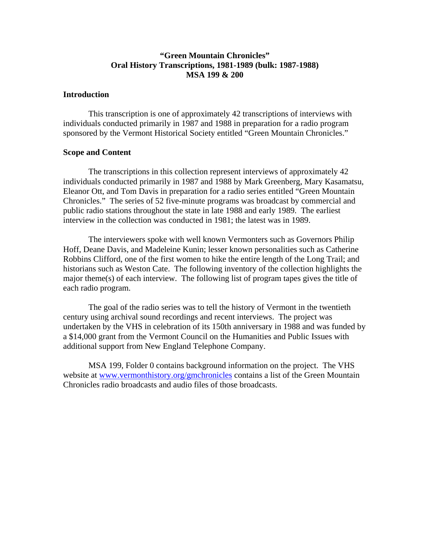## **"Green Mountain Chronicles" Oral History Transcriptions, 1981-1989 (bulk: 1987-1988) MSA 199 & 200**

## **Introduction**

 This transcription is one of approximately 42 transcriptions of interviews with individuals conducted primarily in 1987 and 1988 in preparation for a radio program sponsored by the Vermont Historical Society entitled "Green Mountain Chronicles."

## **Scope and Content**

 The transcriptions in this collection represent interviews of approximately 42 individuals conducted primarily in 1987 and 1988 by Mark Greenberg, Mary Kasamatsu, Eleanor Ott, and Tom Davis in preparation for a radio series entitled "Green Mountain Chronicles." The series of 52 five-minute programs was broadcast by commercial and public radio stations throughout the state in late 1988 and early 1989. The earliest interview in the collection was conducted in 1981; the latest was in 1989.

 The interviewers spoke with well known Vermonters such as Governors Philip Hoff, Deane Davis, and Madeleine Kunin; lesser known personalities such as Catherine Robbins Clifford, one of the first women to hike the entire length of the Long Trail; and historians such as Weston Cate. The following inventory of the collection highlights the major theme(s) of each interview. The following list of program tapes gives the title of each radio program.

 The goal of the radio series was to tell the history of Vermont in the twentieth century using archival sound recordings and recent interviews. The project was undertaken by the VHS in celebration of its 150th anniversary in 1988 and was funded by a \$14,000 grant from the Vermont Council on the Humanities and Public Issues with additional support from New England Telephone Company.

 MSA 199, Folder 0 contains background information on the project. The VHS website at [www.vermonthistory.org/gmchronicles](http://www.vermonthistory.org/gmchronicles) contains a list of the Green Mountain Chronicles radio broadcasts and audio files of those broadcasts.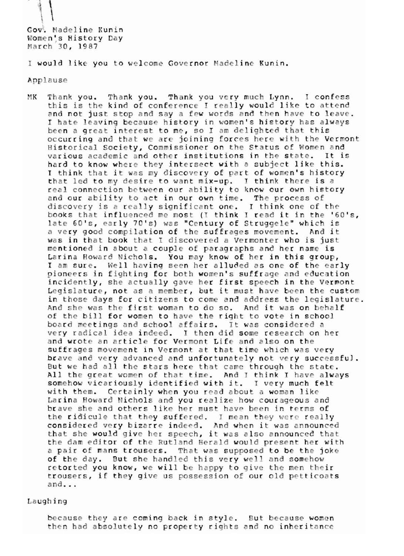$\vert$ 

Gov. Madeline Kunin Women's History Day March 30, 1987

I would like you to welcome Governor Madeline Kunin.

Applause

K Thank you. Thank you. Thank you very much Lynn. his is the I hate leaving because history in women's history has always been a great interest to me, so I am delighted that this occurring and that we are joining forces here with the Vermont Historical Society, Commissioner on the Status of Women and various academic and other institutions in the state. It is hard to know where they intersect with a subject like this. I think that it was my discovery of part of women's history that led to my desire to want mix-up. I think there is a real connection between our ability to know our own history and our ability to act in our own time. The process of discovery is a really significant one. I think one of the books that influenced me most (I think I read it in the '60's, late 60's, early 70's) was "Century of Struggele" which is a very good compilation of the suffrages movement. And it was in that book that I discovered a Vermonter who is just mentioned in about a couple of paragraphs and her name is Larina Howard Nichols. You may know of her in this group, I am sure. Well having seen her alluded as one of the early pioneers in fighting for both women's suffrage and education incidently, she actually gave her first speech in the Vermont Legislature, not as a member, but it must have been the custom in those days for citizens to come and address the legislature. And she was the first woman to do so. And it was on behalf of the bill for women to have the right to vote in school board meetings and school affairs. It was considered a very radical idea indeed. I then did some research on her and wrote an article for Vermont Life and also on the suffrages movement in Vermont at that time which was very brave and very advanced and unfortunately not very successful. But we had all the stars here that came through the state. All the great women of that time. And I think I have always somehow vicariously identified with it. I very much felt with them. Certainly when you read about a woman like Larina Howard Nichols and you realize how courageous and brave she and others like her must have been in terms of the ridicule that they suffered. I mean they were really considered very bizarre indeed. And when it was announced<br>that she would give her speech, it was also announced that the dam editor of the Rutland Herald would present her with a pair of mans trousers. That was supposed to be the joke of the day. But she handled this very well and somehow retorted you know, we will be happy to give the men their trousers, if they give us possession of our old petticoats  $and...$ 

Laughing

because they are coming back in style. But because women then had absolutely no property rights and no inheritance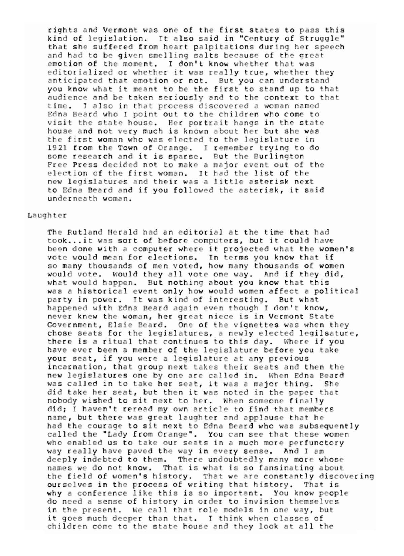rights and Vermont was one of the first states to pass this kind of legislation. It also said in "Century of Struggle" that she suffered from heart palpitations during her speech and had to be given smelling salts because of the great emotion of the moment. I don't know whether that was editorialized or whether it was really true, whether they anticipated that emotion or not. But you can understand you know what it meant to be the first to stand up to that audience and be taken seriously and to the context to that time. I also in that process discovered a woman named Edna Beard who I point out to the children who come to visit the state house. Her portrait hangs in the state house and not very much is known about her but she was the first woman who was elected to the legislature in 1921 from the Town of Orange. I remember trying to do<br>some research and it is sparse. But the Burlington Free Press decided not to make a major event out of the election of the first woman. It had the list of the new legislatures and their was a little asterisk next to Edna Beard and if you followed the asterisk, it said underneath woman.

## Laughter

The Rutland Herald had an editorial at the time that had took...it was sort of before computers, but it could have been done with a computer where it projected what the women's vote would mean for elections. In terms you know that if so many thousands of men voted, how many thousands of women would vote. Would they all vote one way. And if they did, what would happen. But nothing about you know that this was a historical event only how would women affect a political party in power. It was kind of interesting. But what happened with Edna Beard again even though I don't know, never knew the woman, her great niece is in Vermont State Government, Elsie Beard. One of the vignettes was when they chose seats for the legislatures, a newly elected legilsature, there is a ritual that continues to this day. Where if you have ever been a member of the legislature before you take your seat, if you were a legislature at any previous incarnation, that group next takes their seats and then the new legislatures one by one are called in. When Edna Beard was called in to take her seat, it was a major thing. She did take her seat, but then it was noted in the paper that nobody wished to sit next to her. When someone finally did; I haven't reread my own article to find that members name, but there was great laughter and applause that he had the courage to sit next to Edna Beard who was subsequently called the "Lady from Orange". You can see that these women who enabled us to take our seats in a much more perfunctory way really have paved the way in every sense. And I am deeply indebted to them. There undoubtedly many more whose names we do not know. That is what is so fansinating about the field of women's history. That we are constantly discovering ourselves in the process of writing that history. That is why a conference like this is so important. You know people do need a sense of history in order to invision themselves in the present. We call that role models in one way, but it goes much deeper than that. I think when classes of children come to the state house and they look at all the